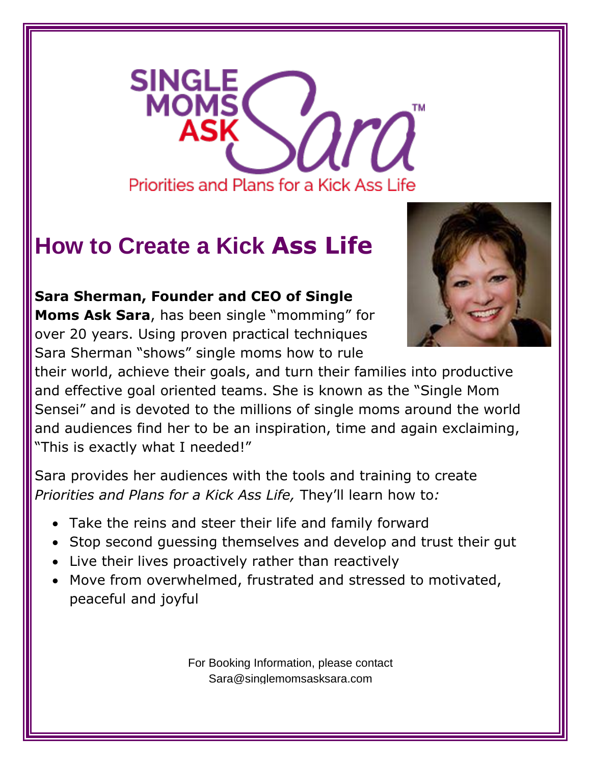

## **How to Create a Kick Ass Life**

**Sara Sherman, Founder and CEO of Single** 

**Moms Ask Sara**, has been single "momming" for over 20 years. Using proven practical techniques Sara Sherman "shows" single moms how to rule



their world, achieve their goals, and turn their families into productive and effective goal oriented teams. She is known as the "Single Mom Sensei" and is devoted to the millions of single moms around the world and audiences find her to be an inspiration, time and again exclaiming, "This is exactly what I needed!"

Sara provides her audiences with the tools and training to create *Priorities and Plans for a Kick Ass Life,* They'll learn how to*:*

- Take the reins and steer their life and family forward
- Stop second guessing themselves and develop and trust their gut
- Live their lives proactively rather than reactively
- Move from overwhelmed, frustrated and stressed to motivated, peaceful and joyful

For Booking Information, please contact Sara@singlemomsasksara.com